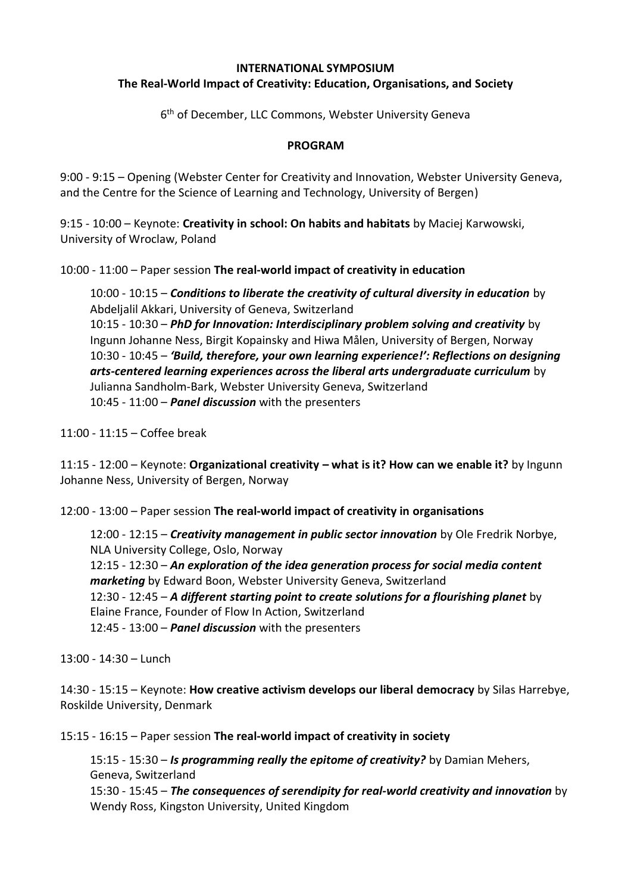#### **INTERNATIONAL SYMPOSIUM The Real-World Impact of Creativity: Education, Organisations, and Society**

6<sup>th</sup> of December, LLC Commons, Webster University Geneva

#### **PROGRAM**

9:00 - 9:15 – Opening (Webster Center for Creativity and Innovation, Webster University Geneva, and the Centre for the Science of Learning and Technology, University of Bergen)

9:15 - 10:00 – Keynote: **Creativity in school: On habits and habitats** by Maciej Karwowski, University of Wroclaw, Poland

10:00 - 11:00 – Paper session **The real-world impact of creativity in education**

10:00 - 10:15 – *Conditions to liberate the creativity of cultural diversity in education* by Abdeljalil Akkari, University of Geneva, Switzerland 10:15 - 10:30 – *PhD for Innovation: Interdisciplinary problem solving and creativity* by Ingunn Johanne Ness, Birgit Kopainsky and Hiwa Målen, University of Bergen, Norway 10:30 - 10:45 – *'Build, therefore, your own learning experience!': Reflections on designing arts-centered learning experiences across the liberal arts undergraduate curriculum* by Julianna Sandholm-Bark, Webster University Geneva, Switzerland 10:45 - 11:00 – *Panel discussion* with the presenters

11:00 - 11:15 – Coffee break

11:15 - 12:00 – Keynote: **Organizational creativity – what is it? How can we enable it?** by Ingunn Johanne Ness, University of Bergen, Norway

12:00 - 13:00 – Paper session **The real-world impact of creativity in organisations**

12:00 - 12:15 – *Creativity management in public sector innovation* by Ole Fredrik Norbye, NLA University College, Oslo, Norway 12:15 - 12:30 – *An exploration of the idea generation process for social media content marketing* by Edward Boon, Webster University Geneva, Switzerland 12:30 - 12:45 – *A different starting point to create solutions for a flourishing planet* by Elaine France, Founder of Flow In Action, Switzerland 12:45 - 13:00 – *Panel discussion* with the presenters

 $13:00 - 14:30 - 1$ unch

14:30 - 15:15 – Keynote: **How creative activism develops our liberal democracy** by Silas Harrebye, Roskilde University, Denmark

15:15 - 16:15 – Paper session **The real-world impact of creativity in society**

15:15 - 15:30 – *Is programming really the epitome of creativity?* by Damian Mehers, Geneva, Switzerland 15:30 - 15:45 – *The consequences of serendipity for real-world creativity and innovation* by Wendy Ross, Kingston University, United Kingdom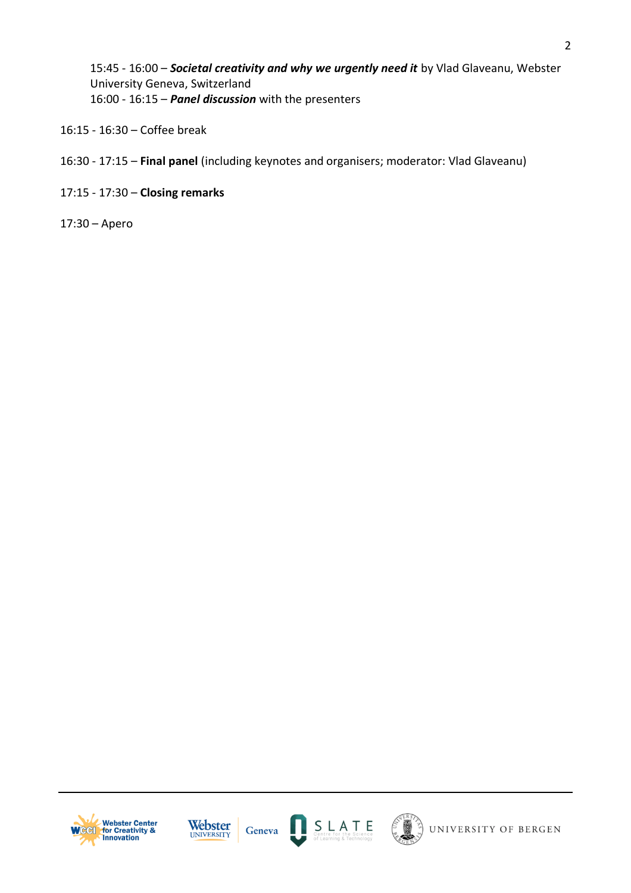15:45 - 16:00 – *Societal creativity and why we urgently need it* by Vlad Glaveanu, Webster University Geneva, Switzerland 16:00 - 16:15 – *Panel discussion* with the presenters

- 16:15 16:30 Coffee break
- 16:30 17:15 **Final panel** (including keynotes and organisers; moderator: Vlad Glaveanu)
- 17:15 17:30 **Closing remarks**
- 17:30 Apero







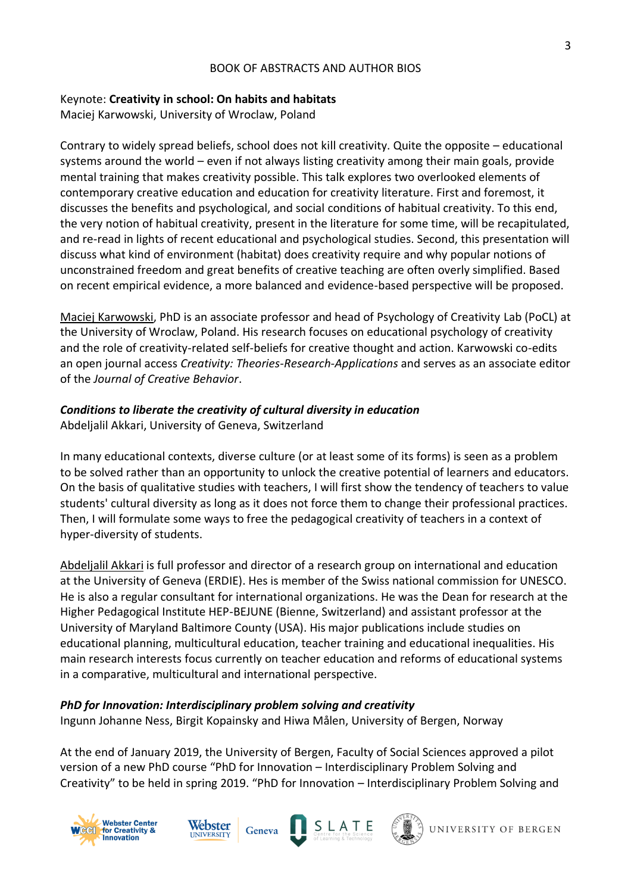#### BOOK OF ABSTRACTS AND AUTHOR BIOS

## Keynote: **Creativity in school: On habits and habitats**

Maciej Karwowski, University of Wroclaw, Poland

Contrary to widely spread beliefs, school does not kill creativity. Quite the opposite – educational systems around the world – even if not always listing creativity among their main goals, provide mental training that makes creativity possible. This talk explores two overlooked elements of contemporary creative education and education for creativity literature. First and foremost, it discusses the benefits and psychological, and social conditions of habitual creativity. To this end, the very notion of habitual creativity, present in the literature for some time, will be recapitulated, and re-read in lights of recent educational and psychological studies. Second, this presentation will discuss what kind of environment (habitat) does creativity require and why popular notions of unconstrained freedom and great benefits of creative teaching are often overly simplified. Based on recent empirical evidence, a more balanced and evidence-based perspective will be proposed.

Maciej Karwowski, PhD is an associate professor and head of Psychology of Creativity Lab (PoCL) at the University of Wroclaw, Poland. His research focuses on educational psychology of creativity and the role of creativity-related self-beliefs for creative thought and action. Karwowski co-edits an open journal access *Creativity: Theories-Research-Applications* and serves as an associate editor of the *Journal of Creative Behavior*.

## *Conditions to liberate the creativity of cultural diversity in education*

Abdeljalil Akkari, University of Geneva, Switzerland

In many educational contexts, diverse culture (or at least some of its forms) is seen as a problem to be solved rather than an opportunity to unlock the creative potential of learners and educators. On the basis of qualitative studies with teachers, I will first show the tendency of teachers to value students' cultural diversity as long as it does not force them to change their professional practices. Then, I will formulate some ways to free the pedagogical creativity of teachers in a context of hyper-diversity of students.

Abdeljalil Akkari is full professor and director of a research group on international and education at the University of Geneva (ERDIE). Hes is member of the Swiss national commission for UNESCO. He is also a regular consultant for international organizations. He was the Dean for research at the Higher Pedagogical Institute HEP-BEJUNE (Bienne, Switzerland) and assistant professor at the University of Maryland Baltimore County (USA). His major publications include studies on educational planning, multicultural education, teacher training and educational inequalities. His main research interests focus currently on teacher education and reforms of educational systems in a comparative, multicultural and international perspective.

# *PhD for Innovation: Interdisciplinary problem solving and creativity*

Ingunn Johanne Ness, Birgit Kopainsky and Hiwa Målen, University of Bergen, Norway

Geneva

At the end of January 2019, the University of Bergen, Faculty of Social Sciences approved a pilot version of a new PhD course "PhD for Innovation – Interdisciplinary Problem Solving and Creativity" to be held in spring 2019. "PhD for Innovation – Interdisciplinary Problem Solving and







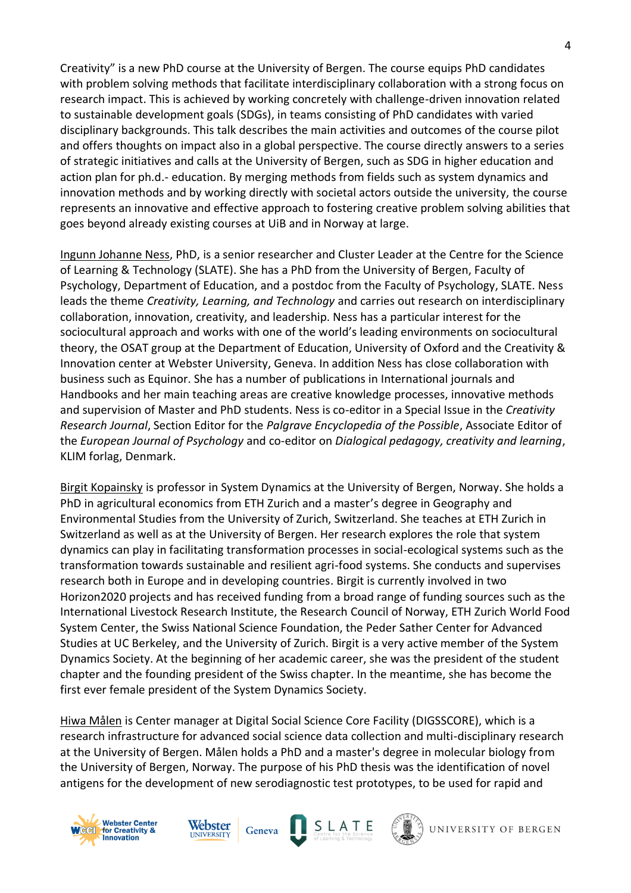Creativity" is a new PhD course at the University of Bergen. The course equips PhD candidates with problem solving methods that facilitate interdisciplinary collaboration with a strong focus on research impact. This is achieved by working concretely with challenge-driven innovation related to sustainable development goals (SDGs), in teams consisting of PhD candidates with varied disciplinary backgrounds. This talk describes the main activities and outcomes of the course pilot and offers thoughts on impact also in a global perspective. The course directly answers to a series of strategic initiatives and calls at the University of Bergen, such as SDG in higher education and action plan for ph.d.- education. By merging methods from fields such as system dynamics and innovation methods and by working directly with societal actors outside the university, the course represents an innovative and effective approach to fostering creative problem solving abilities that goes beyond already existing courses at UiB and in Norway at large.

Ingunn Johanne Ness, PhD, is a senior researcher and Cluster Leader at the Centre for the Science of Learning & Technology (SLATE). She has a PhD from the University of Bergen, Faculty of Psychology, Department of Education, and a postdoc from the Faculty of Psychology, SLATE. Ness leads the theme *Creativity, Learning, and Technology* and carries out research on interdisciplinary collaboration, innovation, creativity, and leadership. Ness has a particular interest for the sociocultural approach and works with one of the world's leading environments on sociocultural theory, the OSAT group at the Department of Education, University of Oxford and the Creativity & Innovation center at Webster University, Geneva. In addition Ness has close collaboration with business such as Equinor. She has a number of publications in International journals and Handbooks and her main teaching areas are creative knowledge processes, innovative methods and supervision of Master and PhD students. Ness is co-editor in a Special Issue in the *Creativity Research Journal*, Section Editor for the *Palgrave Encyclopedia of the Possible*, Associate Editor of the *European Journal of Psychology* and co-editor on *Dialogical pedagogy, creativity and learning*, KLIM forlag, Denmark.

Birgit Kopainsky is professor in System Dynamics at the University of Bergen, Norway. She holds a PhD in agricultural economics from ETH Zurich and a master's degree in Geography and Environmental Studies from the University of Zurich, Switzerland. She teaches at ETH Zurich in Switzerland as well as at the University of Bergen. Her research explores the role that system dynamics can play in facilitating transformation processes in social-ecological systems such as the transformation towards sustainable and resilient agri-food systems. She conducts and supervises research both in Europe and in developing countries. Birgit is currently involved in two Horizon2020 projects and has received funding from a broad range of funding sources such as the International Livestock Research Institute, the Research Council of Norway, ETH Zurich World Food System Center, the Swiss National Science Foundation, the Peder Sather Center for Advanced Studies at UC Berkeley, and the University of Zurich. Birgit is a very active member of the System Dynamics Society. At the beginning of her academic career, she was the president of the student chapter and the founding president of the Swiss chapter. In the meantime, she has become the first ever female president of the System Dynamics Society.

Hiwa Målen is Center manager at Digital Social Science Core Facility (DIGSSCORE), which is a research infrastructure for advanced social science data collection and multi-disciplinary research at the University of Bergen. Målen holds a PhD and a master's degree in molecular biology from the University of Bergen, Norway. The purpose of his PhD thesis was the identification of novel antigens for the development of new serodiagnostic test prototypes, to be used for rapid and





Geneva



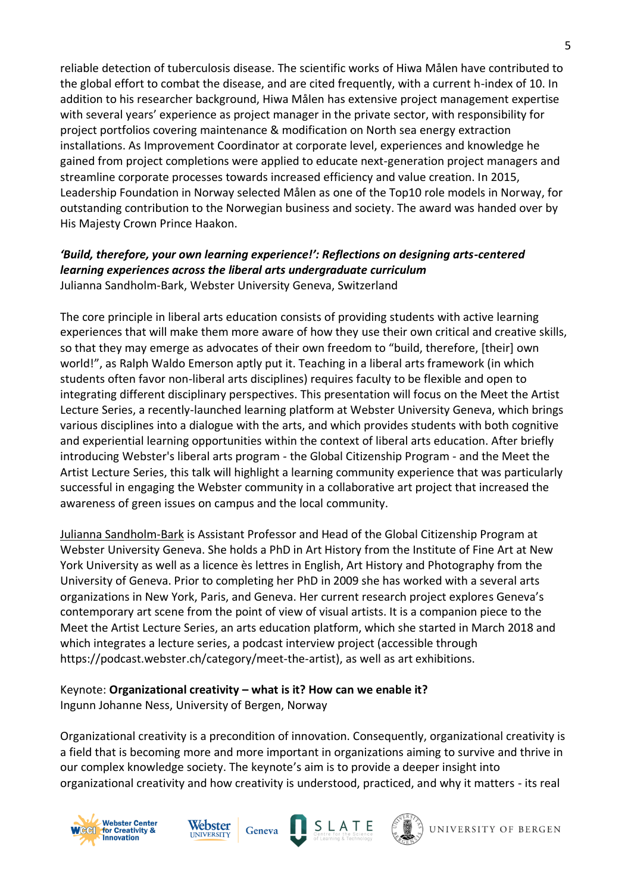reliable detection of tuberculosis disease. The scientific works of Hiwa Målen have contributed to the global effort to combat the disease, and are cited frequently, with a current h-index of 10. In addition to his researcher background, Hiwa Målen has extensive project management expertise with several years' experience as project manager in the private sector, with responsibility for project portfolios covering maintenance & modification on North sea energy extraction installations. As Improvement Coordinator at corporate level, experiences and knowledge he gained from project completions were applied to educate next-generation project managers and streamline corporate processes towards increased efficiency and value creation. In 2015, Leadership Foundation in Norway selected Målen as one of the Top10 role models in Norway, for outstanding contribution to the Norwegian business and society. The award was handed over by His Majesty Crown Prince Haakon.

### *'Build, therefore, your own learning experience!': Reflections on designing arts-centered learning experiences across the liberal arts undergraduate curriculum*  Julianna Sandholm-Bark, Webster University Geneva, Switzerland

The core principle in liberal arts education consists of providing students with active learning experiences that will make them more aware of how they use their own critical and creative skills, so that they may emerge as advocates of their own freedom to "build, therefore, [their] own world!", as Ralph Waldo Emerson aptly put it. Teaching in a liberal arts framework (in which students often favor non-liberal arts disciplines) requires faculty to be flexible and open to integrating different disciplinary perspectives. This presentation will focus on the Meet the Artist Lecture Series, a recently-launched learning platform at Webster University Geneva, which brings various disciplines into a dialogue with the arts, and which provides students with both cognitive and experiential learning opportunities within the context of liberal arts education. After briefly introducing Webster's liberal arts program - the Global Citizenship Program - and the Meet the Artist Lecture Series, this talk will highlight a learning community experience that was particularly successful in engaging the Webster community in a collaborative art project that increased the awareness of green issues on campus and the local community.

Julianna Sandholm-Bark is Assistant Professor and Head of the Global Citizenship Program at Webster University Geneva. She holds a PhD in Art History from the Institute of Fine Art at New York University as well as a licence ès lettres in English, Art History and Photography from the University of Geneva. Prior to completing her PhD in 2009 she has worked with a several arts organizations in New York, Paris, and Geneva. Her current research project explores Geneva's contemporary art scene from the point of view of visual artists. It is a companion piece to the Meet the Artist Lecture Series, an arts education platform, which she started in March 2018 and which integrates a lecture series, a podcast interview project (accessible through https://podcast.webster.ch/category/meet-the-artist), as well as art exhibitions.

## Keynote: **Organizational creativity – what is it? How can we enable it?** Ingunn Johanne Ness, University of Bergen, Norway

Geneva

Organizational creativity is a precondition of innovation. Consequently, organizational creativity is a field that is becoming more and more important in organizations aiming to survive and thrive in our complex knowledge society. The keynote's aim is to provide a deeper insight into organizational creativity and how creativity is understood, practiced, and why it matters - its real







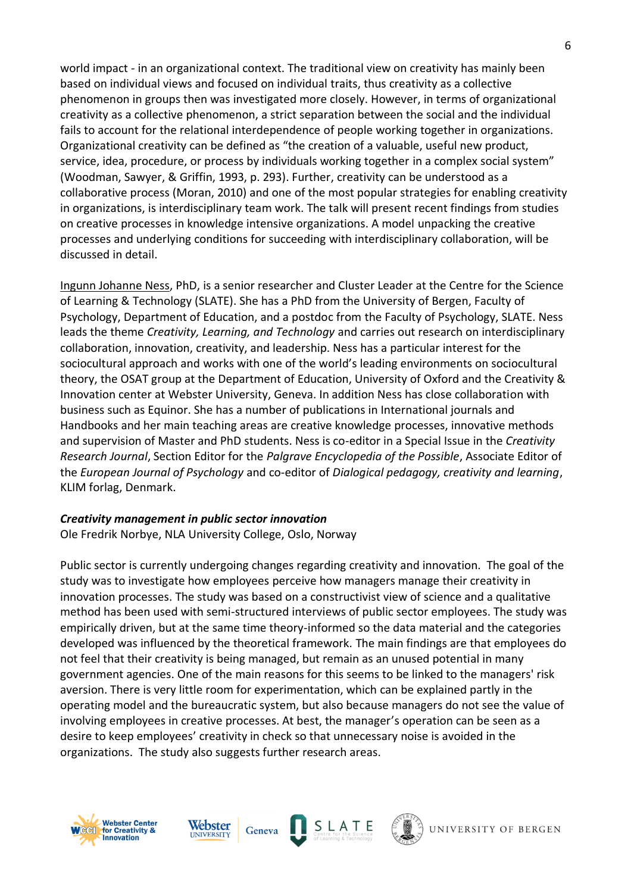world impact - in an organizational context. The traditional view on creativity has mainly been based on individual views and focused on individual traits, thus creativity as a collective phenomenon in groups then was investigated more closely. However, in terms of organizational creativity as a collective phenomenon, a strict separation between the social and the individual fails to account for the relational interdependence of people working together in organizations. Organizational creativity can be defined as "the creation of a valuable, useful new product, service, idea, procedure, or process by individuals working together in a complex social system" (Woodman, Sawyer, & Griffin, 1993, p. 293). Further, creativity can be understood as a collaborative process (Moran, 2010) and one of the most popular strategies for enabling creativity in organizations, is interdisciplinary team work. The talk will present recent findings from studies on creative processes in knowledge intensive organizations. A model unpacking the creative processes and underlying conditions for succeeding with interdisciplinary collaboration, will be discussed in detail.

Ingunn Johanne Ness, PhD, is a senior researcher and Cluster Leader at the Centre for the Science of Learning & Technology (SLATE). She has a PhD from the University of Bergen, Faculty of Psychology, Department of Education, and a postdoc from the Faculty of Psychology, SLATE. Ness leads the theme *Creativity, Learning, and Technology* and carries out research on interdisciplinary collaboration, innovation, creativity, and leadership. Ness has a particular interest for the sociocultural approach and works with one of the world's leading environments on sociocultural theory, the OSAT group at the Department of Education, University of Oxford and the Creativity & Innovation center at Webster University, Geneva. In addition Ness has close collaboration with business such as Equinor. She has a number of publications in International journals and Handbooks and her main teaching areas are creative knowledge processes, innovative methods and supervision of Master and PhD students. Ness is co-editor in a Special Issue in the *Creativity Research Journal*, Section Editor for the *Palgrave Encyclopedia of the Possible*, Associate Editor of the *European Journal of Psychology* and co-editor of *Dialogical pedagogy, creativity and learning*, KLIM forlag, Denmark.

#### *Creativity management in public sector innovation*

Ole Fredrik Norbye, NLA University College, Oslo, Norway

Public sector is currently undergoing changes regarding creativity and innovation. The goal of the study was to investigate how employees perceive how managers manage their creativity in innovation processes. The study was based on a constructivist view of science and a qualitative method has been used with semi-structured interviews of public sector employees. The study was empirically driven, but at the same time theory-informed so the data material and the categories developed was influenced by the theoretical framework. The main findings are that employees do not feel that their creativity is being managed, but remain as an unused potential in many government agencies. One of the main reasons for this seems to be linked to the managers' risk aversion. There is very little room for experimentation, which can be explained partly in the operating model and the bureaucratic system, but also because managers do not see the value of involving employees in creative processes. At best, the manager's operation can be seen as a desire to keep employees' creativity in check so that unnecessary noise is avoided in the organizations. The study also suggests further research areas.





Geneva



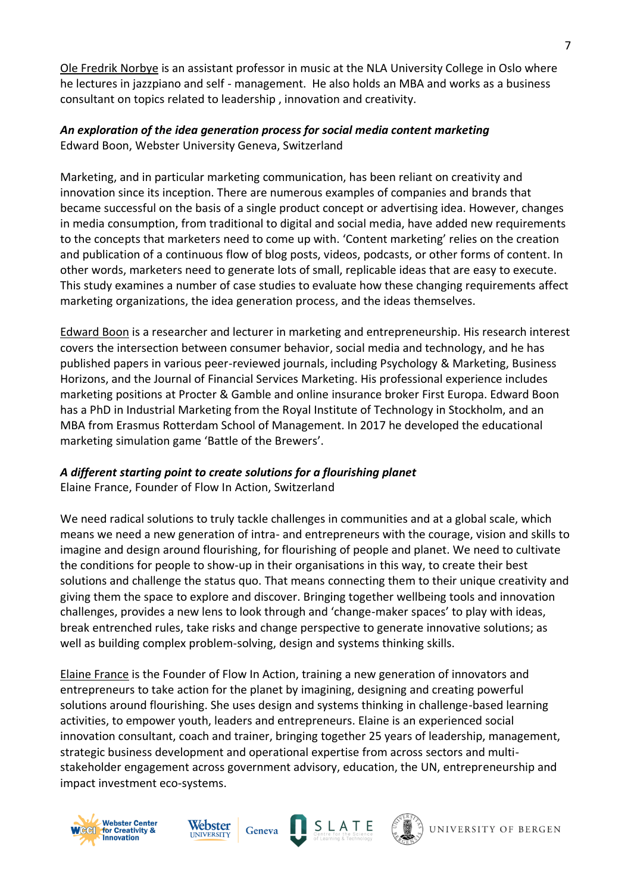Ole Fredrik Norbye is an assistant professor in music at the NLA University College in Oslo where he lectures in jazzpiano and self - management. He also holds an MBA and works as a business consultant on topics related to leadership , innovation and creativity.

#### *An exploration of the idea generation process for social media content marketing*  Edward Boon, Webster University Geneva, Switzerland

Marketing, and in particular marketing communication, has been reliant on creativity and innovation since its inception. There are numerous examples of companies and brands that became successful on the basis of a single product concept or advertising idea. However, changes in media consumption, from traditional to digital and social media, have added new requirements to the concepts that marketers need to come up with. 'Content marketing' relies on the creation and publication of a continuous flow of blog posts, videos, podcasts, or other forms of content. In other words, marketers need to generate lots of small, replicable ideas that are easy to execute. This study examines a number of case studies to evaluate how these changing requirements affect marketing organizations, the idea generation process, and the ideas themselves.

Edward Boon is a researcher and lecturer in marketing and entrepreneurship. His research interest covers the intersection between consumer behavior, social media and technology, and he has published papers in various peer-reviewed journals, including Psychology & Marketing, Business Horizons, and the Journal of Financial Services Marketing. His professional experience includes marketing positions at Procter & Gamble and online insurance broker First Europa. Edward Boon has a PhD in Industrial Marketing from the Royal Institute of Technology in Stockholm, and an MBA from Erasmus Rotterdam School of Management. In 2017 he developed the educational marketing simulation game 'Battle of the Brewers'.

## *A different starting point to create solutions for a flourishing planet*

Elaine France, Founder of Flow In Action, Switzerland

We need radical solutions to truly tackle challenges in communities and at a global scale, which means we need a new generation of intra- and entrepreneurs with the courage, vision and skills to imagine and design around flourishing, for flourishing of people and planet. We need to cultivate the conditions for people to show-up in their organisations in this way, to create their best solutions and challenge the status quo. That means connecting them to their unique creativity and giving them the space to explore and discover. Bringing together wellbeing tools and innovation challenges, provides a new lens to look through and 'change-maker spaces' to play with ideas, break entrenched rules, take risks and change perspective to generate innovative solutions; as well as building complex problem-solving, design and systems thinking skills.

Elaine France is the Founder of Flow In Action, training a new generation of innovators and entrepreneurs to take action for the planet by imagining, designing and creating powerful solutions around flourishing. She uses design and systems thinking in challenge-based learning activities, to empower youth, leaders and entrepreneurs. Elaine is an experienced social innovation consultant, coach and trainer, bringing together 25 years of leadership, management, strategic business development and operational expertise from across sectors and multistakeholder engagement across government advisory, education, the UN, entrepreneurship and impact investment eco-systems.







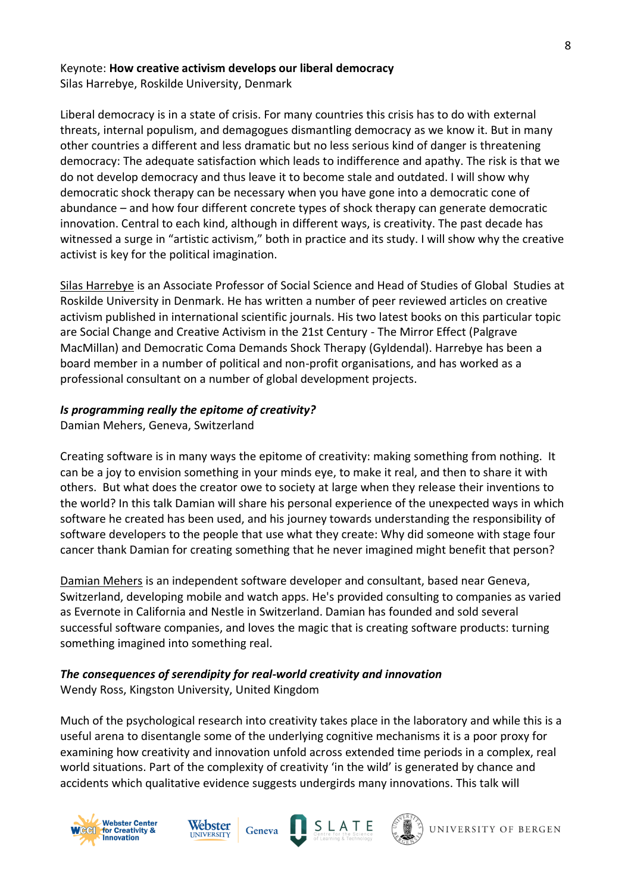#### Keynote: **How creative activism develops our liberal democracy** Silas Harrebye, Roskilde University, Denmark

Liberal democracy is in a state of crisis. For many countries this crisis has to do with external threats, internal populism, and demagogues dismantling democracy as we know it. But in many other countries a different and less dramatic but no less serious kind of danger is threatening democracy: The adequate satisfaction which leads to indifference and apathy. The risk is that we do not develop democracy and thus leave it to become stale and outdated. I will show why democratic shock therapy can be necessary when you have gone into a democratic cone of abundance – and how four different concrete types of shock therapy can generate democratic innovation. Central to each kind, although in different ways, is creativity. The past decade has witnessed a surge in "artistic activism," both in practice and its study. I will show why the creative activist is key for the political imagination.

Silas Harrebye is an Associate Professor of Social Science and Head of Studies of Global Studies at Roskilde University in Denmark. He has written a number of peer reviewed articles on creative activism published in international scientific journals. His two latest books on this particular topic are Social Change and Creative Activism in the 21st Century - The Mirror Effect (Palgrave MacMillan) and Democratic Coma Demands Shock Therapy (Gyldendal). Harrebye has been a board member in a number of political and non-profit organisations, and has worked as a professional consultant on a number of global development projects.

## *Is programming really the epitome of creativity?*

Damian Mehers, Geneva, Switzerland

Creating software is in many ways the epitome of creativity: making something from nothing. It can be a joy to envision something in your minds eye, to make it real, and then to share it with others. But what does the creator owe to society at large when they release their inventions to the world? In this talk Damian will share his personal experience of the unexpected ways in which software he created has been used, and his journey towards understanding the responsibility of software developers to the people that use what they create: Why did someone with stage four cancer thank Damian for creating something that he never imagined might benefit that person?

Damian Mehers is an independent software developer and consultant, based near Geneva, Switzerland, developing mobile and watch apps. He's provided consulting to companies as varied as Evernote in California and Nestle in Switzerland. Damian has founded and sold several successful software companies, and loves the magic that is creating software products: turning something imagined into something real.

## *The consequences of serendipity for real-world creativity and innovation* Wendy Ross, Kingston University, United Kingdom

Geneva

Much of the psychological research into creativity takes place in the laboratory and while this is a useful arena to disentangle some of the underlying cognitive mechanisms it is a poor proxy for examining how creativity and innovation unfold across extended time periods in a complex, real world situations. Part of the complexity of creativity 'in the wild' is generated by chance and accidents which qualitative evidence suggests undergirds many innovations. This talk will